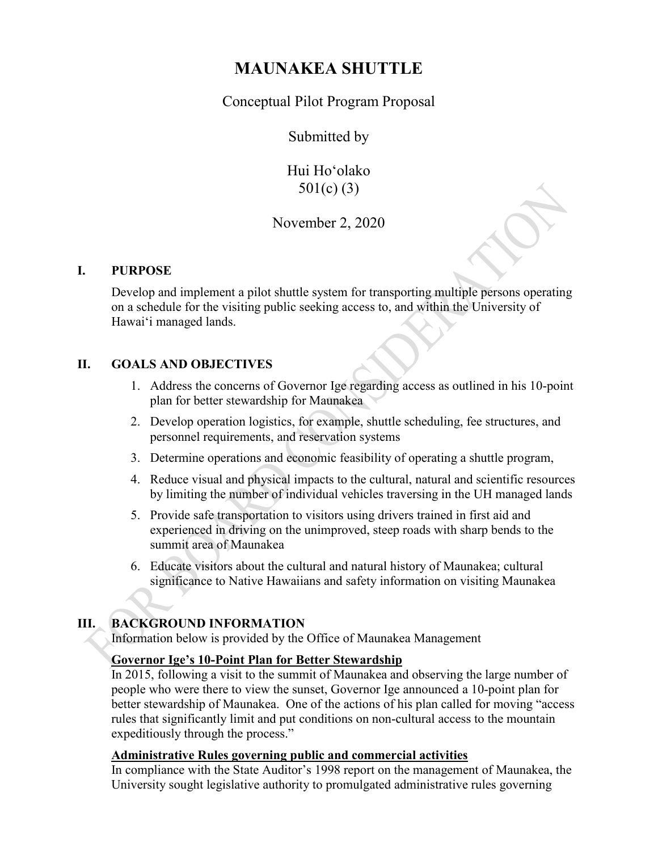# **MAUNAKEA SHUTTLE**

Conceptual Pilot Program Proposal

Submitted by

Hui Hoʻolako 501(c) (3)

## November 2, 2020

### **I. PURPOSE**

Develop and implement a pilot shuttle system for transporting multiple persons operating on a schedule for the visiting public seeking access to, and within the University of Hawaiʻi managed lands.

### **II. GOALS AND OBJECTIVES**

- 1. Address the concerns of Governor Ige regarding access as outlined in his 10-point plan for better stewardship for Maunakea
- 2. Develop operation logistics, for example, shuttle scheduling, fee structures, and personnel requirements, and reservation systems
- 3. Determine operations and economic feasibility of operating a shuttle program,
- 4. Reduce visual and physical impacts to the cultural, natural and scientific resources by limiting the number of individual vehicles traversing in the UH managed lands
- 5. Provide safe transportation to visitors using drivers trained in first aid and experienced in driving on the unimproved, steep roads with sharp bends to the summit area of Maunakea
- 6. Educate visitors about the cultural and natural history of Maunakea; cultural significance to Native Hawaiians and safety information on visiting Maunakea

### **III. BACKGROUND INFORMATION**

Information below is provided by the Office of Maunakea Management

### **Governor Ige's 10-Point Plan for Better Stewardship**

In 2015, following a visit to the summit of Maunakea and observing the large number of people who were there to view the sunset, Governor Ige announced a 10-point plan for better stewardship of Maunakea. One of the actions of his plan called for moving "access rules that significantly limit and put conditions on non-cultural access to the mountain expeditiously through the process."

#### **Administrative Rules governing public and commercial activities**

In compliance with the State Auditor's 1998 report on the management of Maunakea, the University sought legislative authority to promulgated administrative rules governing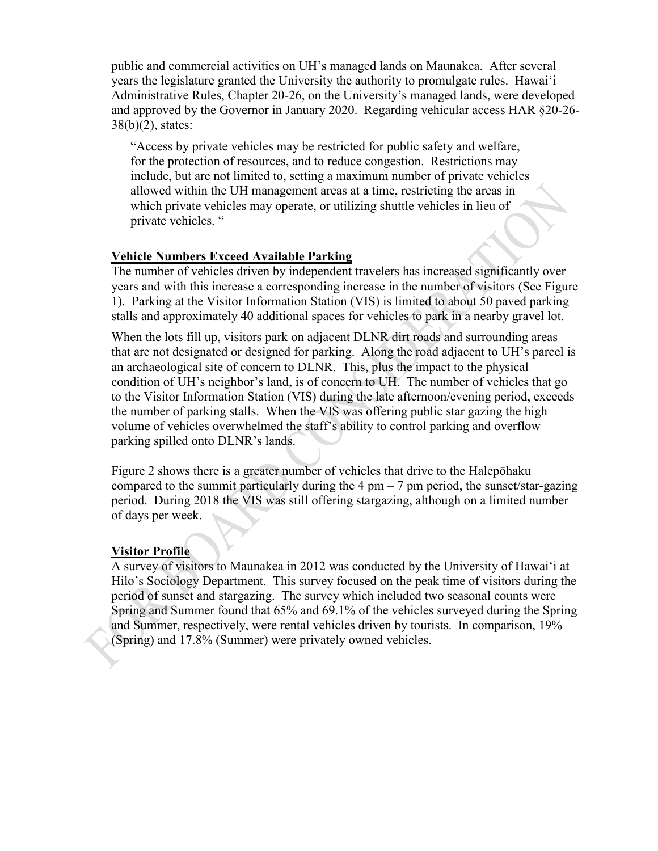public and commercial activities on UH's managed lands on Maunakea. After several years the legislature granted the University the authority to promulgate rules. Hawaiʻi Administrative Rules, Chapter 20-26, on the University's managed lands, were developed and approved by the Governor in January 2020. Regarding vehicular access HAR §20-26-  $38(b)(2)$ , states:

"Access by private vehicles may be restricted for public safety and welfare, for the protection of resources, and to reduce congestion. Restrictions may include, but are not limited to, setting a maximum number of private vehicles allowed within the UH management areas at a time, restricting the areas in which private vehicles may operate, or utilizing shuttle vehicles in lieu of private vehicles. "

#### **Vehicle Numbers Exceed Available Parking**

The number of vehicles driven by independent travelers has increased significantly over years and with this increase a corresponding increase in the number of visitors (See Figure 1). Parking at the Visitor Information Station (VIS) is limited to about 50 paved parking stalls and approximately 40 additional spaces for vehicles to park in a nearby gravel lot.

When the lots fill up, visitors park on adjacent DLNR dirt roads and surrounding areas that are not designated or designed for parking. Along the road adjacent to UH's parcel is an archaeological site of concern to DLNR. This, plus the impact to the physical condition of UH's neighbor's land, is of concern to UH. The number of vehicles that go to the Visitor Information Station (VIS) during the late afternoon/evening period, exceeds the number of parking stalls. When the VIS was offering public star gazing the high volume of vehicles overwhelmed the staff's ability to control parking and overflow parking spilled onto DLNR's lands.

Figure 2 shows there is a greater number of vehicles that drive to the Halepōhaku compared to the summit particularly during the  $4 \text{ pm} - 7 \text{ pm}$  period, the sunset/star-gazing period. During 2018 the VIS was still offering stargazing, although on a limited number of days per week.

#### **Visitor Profile**

A survey of visitors to Maunakea in 2012 was conducted by the University of Hawaiʻi at Hilo's Sociology Department. This survey focused on the peak time of visitors during the period of sunset and stargazing. The survey which included two seasonal counts were Spring and Summer found that 65% and 69.1% of the vehicles surveyed during the Spring and Summer, respectively, were rental vehicles driven by tourists. In comparison, 19% (Spring) and 17.8% (Summer) were privately owned vehicles.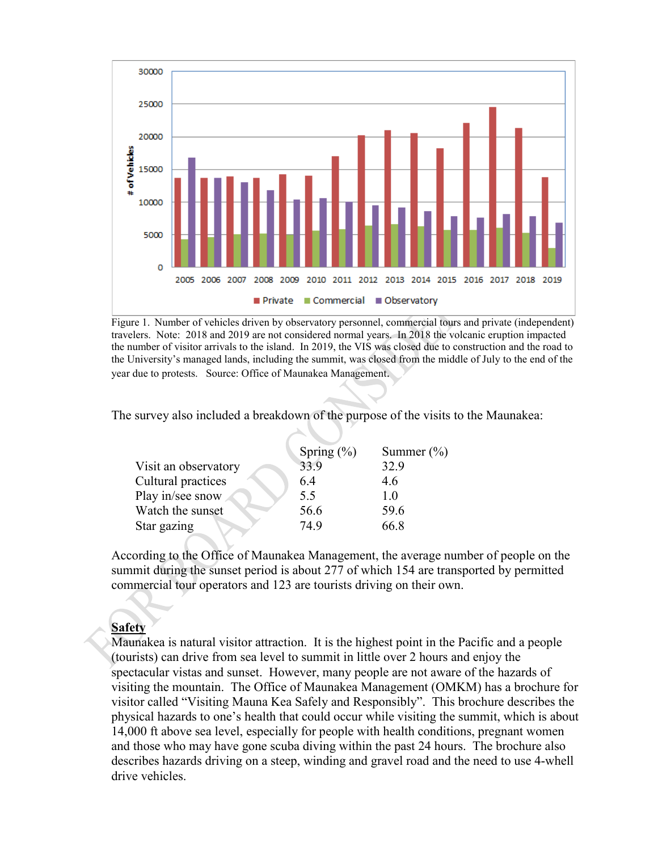

Figure 1. Number of vehicles driven by observatory personnel, commercial tours and private (independent) travelers. Note: 2018 and 2019 are not considered normal years. In 2018 the volcanic eruption impacted the number of visitor arrivals to the island. In 2019, the VIS was closed due to construction and the road to the University's managed lands, including the summit, was closed from the middle of July to the end of the year due to protests. Source: Office of Maunakea Management.

The survey also included a breakdown of the purpose of the visits to the Maunakea:

|      | Summer $(\% )$         |  |
|------|------------------------|--|
|      | 32.9                   |  |
| 6.4  | 4.6                    |  |
| 5.5  | 1.0                    |  |
| 56.6 | 59.6                   |  |
| 74.9 | 66.8                   |  |
|      | Spring $(\% )$<br>33.9 |  |

According to the Office of Maunakea Management, the average number of people on the summit during the sunset period is about 277 of which 154 are transported by permitted commercial tour operators and 123 are tourists driving on their own.

#### **Safety**

Maunakea is natural visitor attraction. It is the highest point in the Pacific and a people (tourists) can drive from sea level to summit in little over 2 hours and enjoy the spectacular vistas and sunset. However, many people are not aware of the hazards of visiting the mountain. The Office of Maunakea Management (OMKM) has a brochure for visitor called "Visiting Mauna Kea Safely and Responsibly". This brochure describes the physical hazards to one's health that could occur while visiting the summit, which is about 14,000 ft above sea level, especially for people with health conditions, pregnant women and those who may have gone scuba diving within the past 24 hours. The brochure also describes hazards driving on a steep, winding and gravel road and the need to use 4-whell drive vehicles.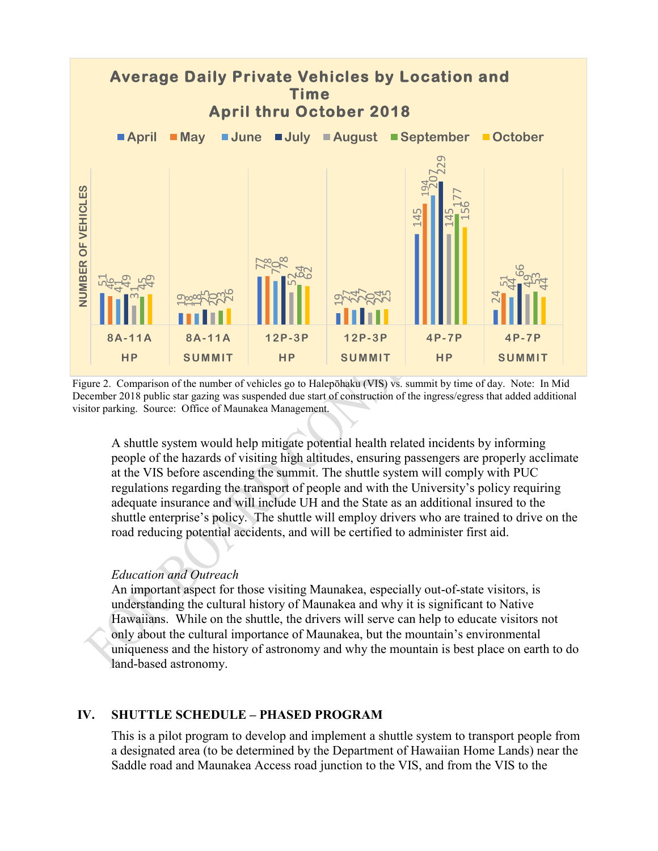

Figure 2. Comparison of the number of vehicles go to Halepōhaku (VIS) vs. summit by time of day. Note: In Mid December 2018 public star gazing was suspended due start of construction of the ingress/egress that added additional visitor parking. Source: Office of Maunakea Management.

A shuttle system would help mitigate potential health related incidents by informing people of the hazards of visiting high altitudes, ensuring passengers are properly acclimate at the VIS before ascending the summit. The shuttle system will comply with PUC regulations regarding the transport of people and with the University's policy requiring adequate insurance and will include UH and the State as an additional insured to the shuttle enterprise's policy. The shuttle will employ drivers who are trained to drive on the road reducing potential accidents, and will be certified to administer first aid.

#### *Education and Outreach*

An important aspect for those visiting Maunakea, especially out-of-state visitors, is understanding the cultural history of Maunakea and why it is significant to Native Hawaiians. While on the shuttle, the drivers will serve can help to educate visitors not only about the cultural importance of Maunakea, but the mountain's environmental uniqueness and the history of astronomy and why the mountain is best place on earth to do land-based astronomy.

### **IV. SHUTTLE SCHEDULE – PHASED PROGRAM**

This is a pilot program to develop and implement a shuttle system to transport people from a designated area (to be determined by the Department of Hawaiian Home Lands) near the Saddle road and Maunakea Access road junction to the VIS, and from the VIS to the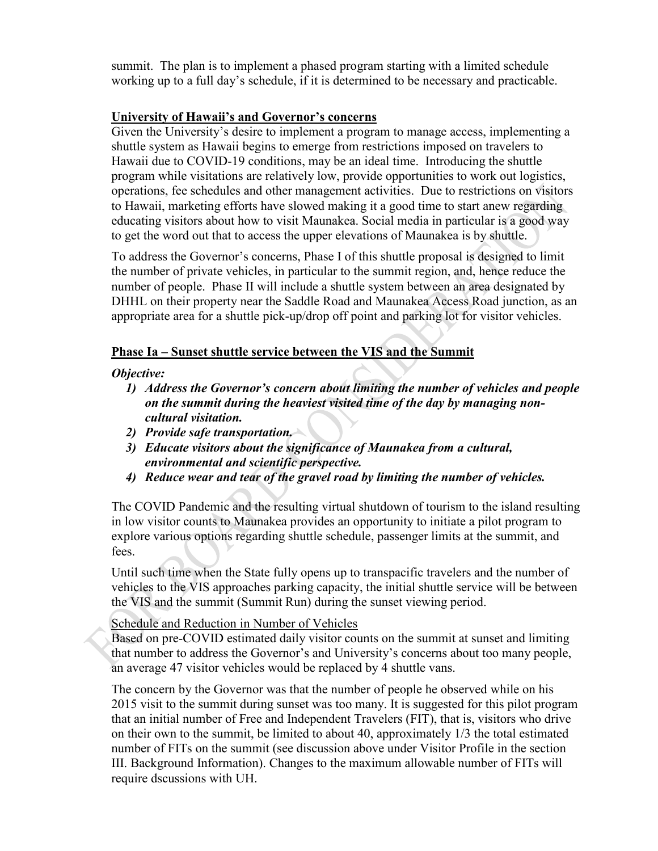summit. The plan is to implement a phased program starting with a limited schedule working up to a full day's schedule, if it is determined to be necessary and practicable.

### **University of Hawaii's and Governor's concerns**

Given the University's desire to implement a program to manage access, implementing a shuttle system as Hawaii begins to emerge from restrictions imposed on travelers to Hawaii due to COVID-19 conditions, may be an ideal time. Introducing the shuttle program while visitations are relatively low, provide opportunities to work out logistics, operations, fee schedules and other management activities. Due to restrictions on visitors to Hawaii, marketing efforts have slowed making it a good time to start anew regarding educating visitors about how to visit Maunakea. Social media in particular is a good way to get the word out that to access the upper elevations of Maunakea is by shuttle.

To address the Governor's concerns, Phase I of this shuttle proposal is designed to limit the number of private vehicles, in particular to the summit region, and, hence reduce the number of people. Phase II will include a shuttle system between an area designated by DHHL on their property near the Saddle Road and Maunakea Access Road junction, as an appropriate area for a shuttle pick-up/drop off point and parking lot for visitor vehicles.

### **Phase Ia – Sunset shuttle service between the VIS and the Summit**

*Objective:* 

- *1) Address the Governor's concern about limiting the number of vehicles and people on the summit during the heaviest visited time of the day by managing noncultural visitation.*
- *2) Provide safe transportation.*
- *3) Educate visitors about the significance of Maunakea from a cultural, environmental and scientific perspective.*
- *4) Reduce wear and tear of the gravel road by limiting the number of vehicles.*

The COVID Pandemic and the resulting virtual shutdown of tourism to the island resulting in low visitor counts to Maunakea provides an opportunity to initiate a pilot program to explore various options regarding shuttle schedule, passenger limits at the summit, and fees.

Until such time when the State fully opens up to transpacific travelers and the number of vehicles to the VIS approaches parking capacity, the initial shuttle service will be between the VIS and the summit (Summit Run) during the sunset viewing period.

### Schedule and Reduction in Number of Vehicles

Based on pre-COVID estimated daily visitor counts on the summit at sunset and limiting that number to address the Governor's and University's concerns about too many people, an average 47 visitor vehicles would be replaced by 4 shuttle vans.

The concern by the Governor was that the number of people he observed while on his 2015 visit to the summit during sunset was too many. It is suggested for this pilot program that an initial number of Free and Independent Travelers (FIT), that is, visitors who drive on their own to the summit, be limited to about 40, approximately 1/3 the total estimated number of FITs on the summit (see discussion above under Visitor Profile in the section III. Background Information). Changes to the maximum allowable number of FITs will require dscussions with UH.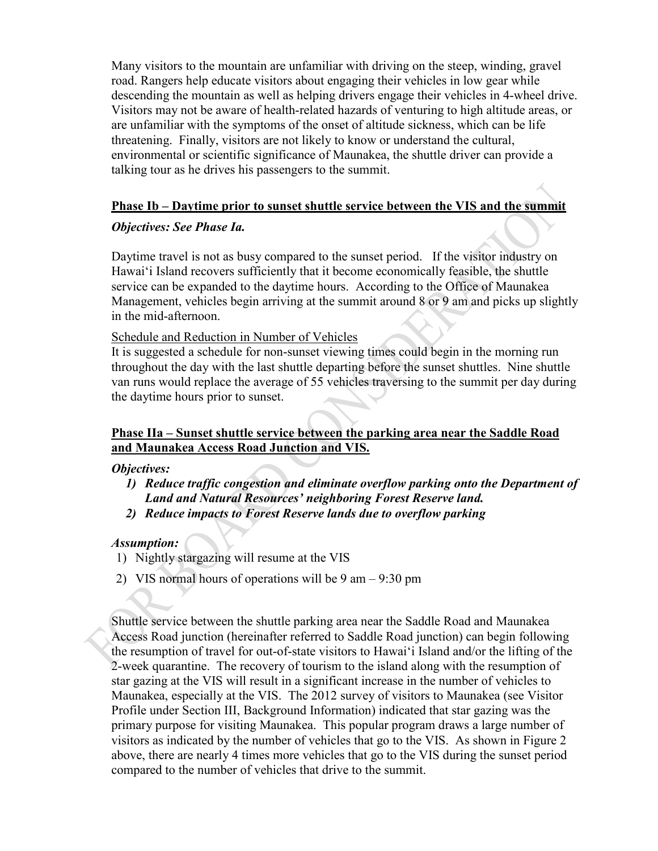Many visitors to the mountain are unfamiliar with driving on the steep, winding, gravel road. Rangers help educate visitors about engaging their vehicles in low gear while descending the mountain as well as helping drivers engage their vehicles in 4-wheel drive. Visitors may not be aware of health-related hazards of venturing to high altitude areas, or are unfamiliar with the symptoms of the onset of altitude sickness, which can be life threatening. Finally, visitors are not likely to know or understand the cultural, environmental or scientific significance of Maunakea, the shuttle driver can provide a talking tour as he drives his passengers to the summit.

### **Phase Ib – Daytime prior to sunset shuttle service between the VIS and the summit**

### *Objectives: See Phase Ia.*

Daytime travel is not as busy compared to the sunset period. If the visitor industry on Hawaiʻi Island recovers sufficiently that it become economically feasible, the shuttle service can be expanded to the daytime hours. According to the Office of Maunakea Management, vehicles begin arriving at the summit around 8 or 9 am and picks up slightly in the mid-afternoon.

#### Schedule and Reduction in Number of Vehicles

It is suggested a schedule for non-sunset viewing times could begin in the morning run throughout the day with the last shuttle departing before the sunset shuttles. Nine shuttle van runs would replace the average of 55 vehicles traversing to the summit per day during the daytime hours prior to sunset.

### **Phase IIa – Sunset shuttle service between the parking area near the Saddle Road and Maunakea Access Road Junction and VIS.**

#### *Objectives:*

- *1) Reduce traffic congestion and eliminate overflow parking onto the Department of Land and Natural Resources' neighboring Forest Reserve land.*
- *2) Reduce impacts to Forest Reserve lands due to overflow parking*

#### *Assumption:*

- 1) Nightly stargazing will resume at the VIS
- 2) VIS normal hours of operations will be 9 am 9:30 pm

Shuttle service between the shuttle parking area near the Saddle Road and Maunakea Access Road junction (hereinafter referred to Saddle Road junction) can begin following the resumption of travel for out-of-state visitors to Hawaiʻi Island and/or the lifting of the 2-week quarantine. The recovery of tourism to the island along with the resumption of star gazing at the VIS will result in a significant increase in the number of vehicles to Maunakea, especially at the VIS. The 2012 survey of visitors to Maunakea (see Visitor Profile under Section III, Background Information) indicated that star gazing was the primary purpose for visiting Maunakea. This popular program draws a large number of visitors as indicated by the number of vehicles that go to the VIS. As shown in Figure 2 above, there are nearly 4 times more vehicles that go to the VIS during the sunset period compared to the number of vehicles that drive to the summit.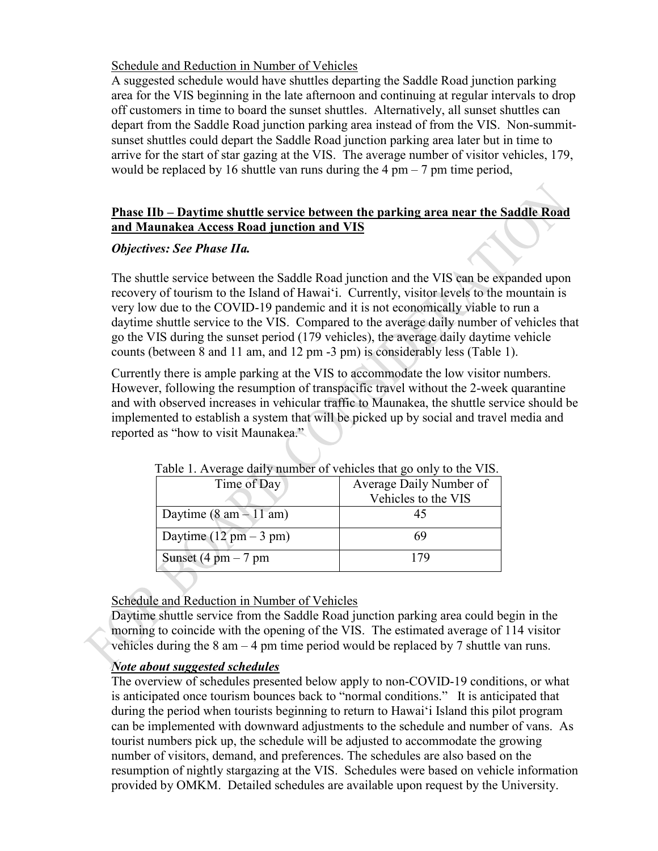### Schedule and Reduction in Number of Vehicles

A suggested schedule would have shuttles departing the Saddle Road junction parking area for the VIS beginning in the late afternoon and continuing at regular intervals to drop off customers in time to board the sunset shuttles. Alternatively, all sunset shuttles can depart from the Saddle Road junction parking area instead of from the VIS. Non-summitsunset shuttles could depart the Saddle Road junction parking area later but in time to arrive for the start of star gazing at the VIS. The average number of visitor vehicles, 179, would be replaced by 16 shuttle van runs during the 4 pm  $-7$  pm time period,

### **Phase IIb – Daytime shuttle service between the parking area near the Saddle Road and Maunakea Access Road junction and VIS**

### *Objectives: See Phase IIa.*

The shuttle service between the Saddle Road junction and the VIS can be expanded upon recovery of tourism to the Island of Hawaiʻi. Currently, visitor levels to the mountain is very low due to the COVID-19 pandemic and it is not economically viable to run a daytime shuttle service to the VIS. Compared to the average daily number of vehicles that go the VIS during the sunset period (179 vehicles), the average daily daytime vehicle counts (between 8 and 11 am, and 12 pm -3 pm) is considerably less (Table 1).

Currently there is ample parking at the VIS to accommodate the low visitor numbers. However, following the resumption of transpacific travel without the 2-week quarantine and with observed increases in vehicular traffic to Maunakea, the shuttle service should be implemented to establish a system that will be picked up by social and travel media and reported as "how to visit Maunakea."

| Time of Day                              | Table 1. Tryenage daily manloer or vehicles that go only to the vib.<br>Average Daily Number of |  |  |
|------------------------------------------|-------------------------------------------------------------------------------------------------|--|--|
|                                          | Vehicles to the VIS                                                                             |  |  |
| Daytime $(8 \text{ am} - 11 \text{ am})$ |                                                                                                 |  |  |
| Daytime $(12 \text{ pm} - 3 \text{ pm})$ | 69                                                                                              |  |  |
| Sunset $(4 \text{ pm} - 7 \text{ pm})$   | 179                                                                                             |  |  |

Table 1. Average daily number of vehicles that go only to the VIS.

### Schedule and Reduction in Number of Vehicles

Daytime shuttle service from the Saddle Road junction parking area could begin in the morning to coincide with the opening of the VIS. The estimated average of 114 visitor vehicles during the 8 am – 4 pm time period would be replaced by 7 shuttle van runs.

### *Note about suggested schedules*

The overview of schedules presented below apply to non-COVID-19 conditions, or what is anticipated once tourism bounces back to "normal conditions." It is anticipated that during the period when tourists beginning to return to Hawaiʻi Island this pilot program can be implemented with downward adjustments to the schedule and number of vans. As tourist numbers pick up, the schedule will be adjusted to accommodate the growing number of visitors, demand, and preferences. The schedules are also based on the resumption of nightly stargazing at the VIS. Schedules were based on vehicle information provided by OMKM. Detailed schedules are available upon request by the University.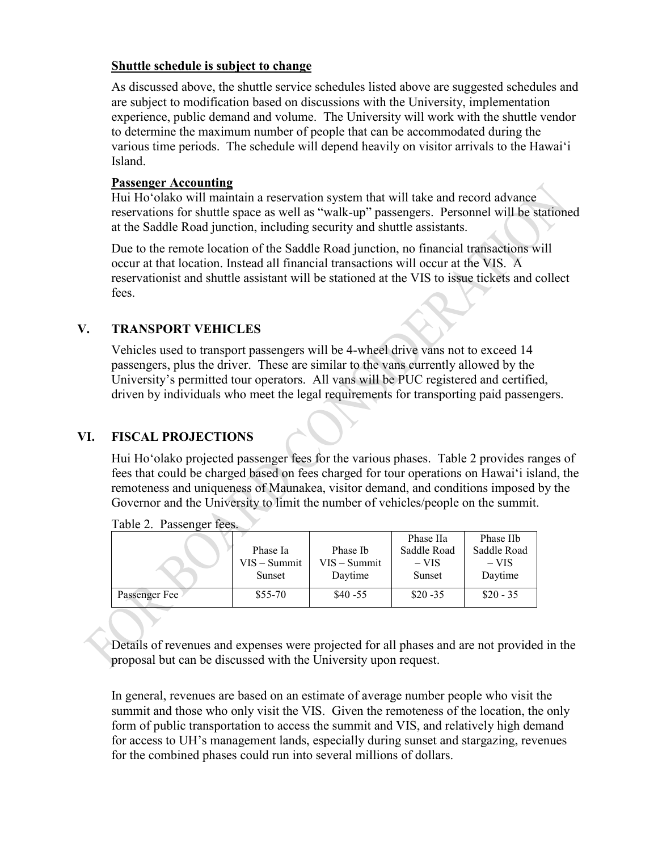### **Shuttle schedule is subject to change**

As discussed above, the shuttle service schedules listed above are suggested schedules and are subject to modification based on discussions with the University, implementation experience, public demand and volume. The University will work with the shuttle vendor to determine the maximum number of people that can be accommodated during the various time periods. The schedule will depend heavily on visitor arrivals to the Hawaiʻi Island.

#### **Passenger Accounting**

Hui Hoʻolako will maintain a reservation system that will take and record advance reservations for shuttle space as well as "walk-up" passengers. Personnel will be stationed at the Saddle Road junction, including security and shuttle assistants.

Due to the remote location of the Saddle Road junction, no financial transactions will occur at that location. Instead all financial transactions will occur at the VIS. A reservationist and shuttle assistant will be stationed at the VIS to issue tickets and collect fees.

### **V. TRANSPORT VEHICLES**

Vehicles used to transport passengers will be 4-wheel drive vans not to exceed 14 passengers, plus the driver. These are similar to the vans currently allowed by the University's permitted tour operators. All vans will be PUC registered and certified, driven by individuals who meet the legal requirements for transporting paid passengers.

### **VI. FISCAL PROJECTIONS**

Hui Hoʻolako projected passenger fees for the various phases. Table 2 provides ranges of fees that could be charged based on fees charged for tour operations on Hawaiʻi island, the remoteness and uniqueness of Maunakea, visitor demand, and conditions imposed by the Governor and the University to limit the number of vehicles/people on the summit.

|               |                |                | Phase IIa   | Phase IIb   |
|---------------|----------------|----------------|-------------|-------------|
|               | Phase Ia       | Phase Ib       | Saddle Road | Saddle Road |
|               | $VIS - Summit$ | $VIS - Summit$ | $-VIS$      | $-VIS$      |
|               | Sunset         | Daytime        | Sunset      | Daytime     |
|               |                |                |             |             |
| Passenger Fee | $$55-70$       | $$40 - 55$     | $$20 - 35$  | $$20 - 35$  |
|               |                |                |             |             |

Table 2. Passenger fees.

Details of revenues and expenses were projected for all phases and are not provided in the proposal but can be discussed with the University upon request.

In general, revenues are based on an estimate of average number people who visit the summit and those who only visit the VIS. Given the remoteness of the location, the only form of public transportation to access the summit and VIS, and relatively high demand for access to UH's management lands, especially during sunset and stargazing, revenues for the combined phases could run into several millions of dollars.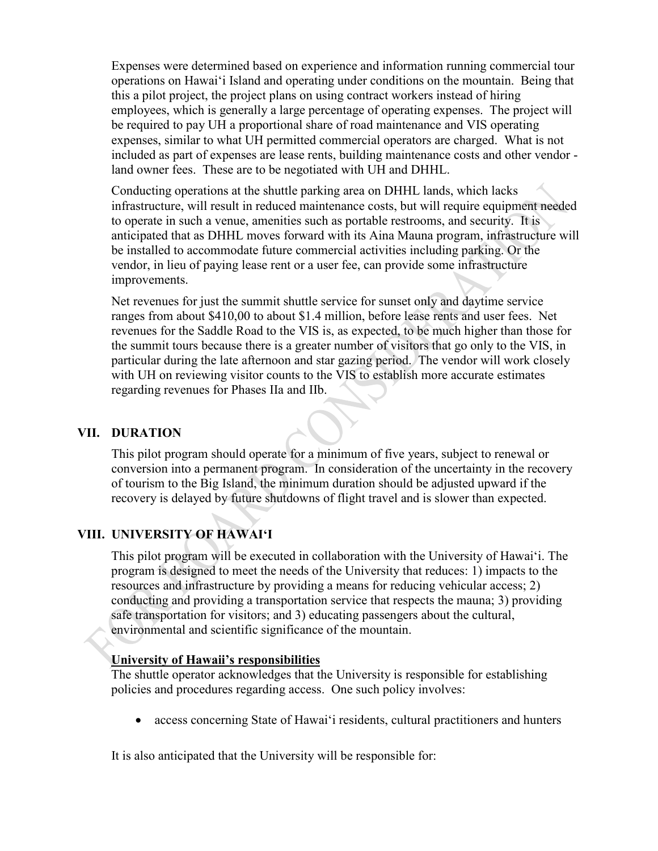Expenses were determined based on experience and information running commercial tour operations on Hawaiʻi Island and operating under conditions on the mountain. Being that this a pilot project, the project plans on using contract workers instead of hiring employees, which is generally a large percentage of operating expenses. The project will be required to pay UH a proportional share of road maintenance and VIS operating expenses, similar to what UH permitted commercial operators are charged. What is not included as part of expenses are lease rents, building maintenance costs and other vendor land owner fees. These are to be negotiated with UH and DHHL.

Conducting operations at the shuttle parking area on DHHL lands, which lacks infrastructure, will result in reduced maintenance costs, but will require equipment needed to operate in such a venue, amenities such as portable restrooms, and security. It is anticipated that as DHHL moves forward with its Aina Mauna program, infrastructure will be installed to accommodate future commercial activities including parking. Or the vendor, in lieu of paying lease rent or a user fee, can provide some infrastructure improvements.

Net revenues for just the summit shuttle service for sunset only and daytime service ranges from about \$410,00 to about \$1.4 million, before lease rents and user fees. Net revenues for the Saddle Road to the VIS is, as expected, to be much higher than those for the summit tours because there is a greater number of visitors that go only to the VIS, in particular during the late afternoon and star gazing period. The vendor will work closely with UH on reviewing visitor counts to the VIS to establish more accurate estimates regarding revenues for Phases IIa and IIb.

#### **VII. DURATION**

This pilot program should operate for a minimum of five years, subject to renewal or conversion into a permanent program. In consideration of the uncertainty in the recovery of tourism to the Big Island, the minimum duration should be adjusted upward if the recovery is delayed by future shutdowns of flight travel and is slower than expected.

### **VIII. UNIVERSITY OF HAWAIʻI**

This pilot program will be executed in collaboration with the University of Hawaiʻi. The program is designed to meet the needs of the University that reduces: 1) impacts to the resources and infrastructure by providing a means for reducing vehicular access; 2) conducting and providing a transportation service that respects the mauna; 3) providing safe transportation for visitors; and 3) educating passengers about the cultural, environmental and scientific significance of the mountain.

#### **University of Hawaii's responsibilities**

The shuttle operator acknowledges that the University is responsible for establishing policies and procedures regarding access. One such policy involves:

• access concerning State of Hawaiʻi residents, cultural practitioners and hunters

It is also anticipated that the University will be responsible for: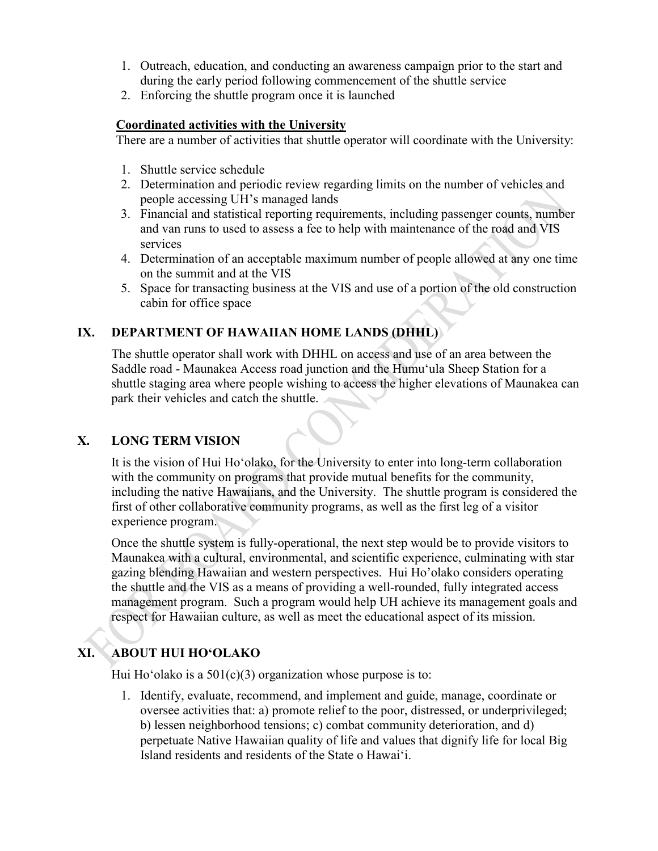- 1. Outreach, education, and conducting an awareness campaign prior to the start and during the early period following commencement of the shuttle service
- 2. Enforcing the shuttle program once it is launched

### **Coordinated activities with the University**

There are a number of activities that shuttle operator will coordinate with the University:

- 1. Shuttle service schedule
- 2. Determination and periodic review regarding limits on the number of vehicles and people accessing UH's managed lands
- 3. Financial and statistical reporting requirements, including passenger counts, number and van runs to used to assess a fee to help with maintenance of the road and VIS services
- 4. Determination of an acceptable maximum number of people allowed at any one time on the summit and at the VIS
- 5. Space for transacting business at the VIS and use of a portion of the old construction cabin for office space

### **IX. DEPARTMENT OF HAWAIIAN HOME LANDS (DHHL)**

The shuttle operator shall work with DHHL on access and use of an area between the Saddle road - Maunakea Access road junction and the Humuʻula Sheep Station for a shuttle staging area where people wishing to access the higher elevations of Maunakea can park their vehicles and catch the shuttle.

### **X. LONG TERM VISION**

It is the vision of Hui Hoʻolako, for the University to enter into long-term collaboration with the community on programs that provide mutual benefits for the community, including the native Hawaiians, and the University. The shuttle program is considered the first of other collaborative community programs, as well as the first leg of a visitor experience program.

Once the shuttle system is fully-operational, the next step would be to provide visitors to Maunakea with a cultural, environmental, and scientific experience, culminating with star gazing blending Hawaiian and western perspectives. Hui Ho'olako considers operating the shuttle and the VIS as a means of providing a well-rounded, fully integrated access management program. Such a program would help UH achieve its management goals and respect for Hawaiian culture, as well as meet the educational aspect of its mission.

# **XI. ABOUT HUI HOʻOLAKO**

Hui Ho'olako is a  $501(c)(3)$  organization whose purpose is to:

1. Identify, evaluate, recommend, and implement and guide, manage, coordinate or oversee activities that: a) promote relief to the poor, distressed, or underprivileged; b) lessen neighborhood tensions; c) combat community deterioration, and d) perpetuate Native Hawaiian quality of life and values that dignify life for local Big Island residents and residents of the State o Hawaiʻi.